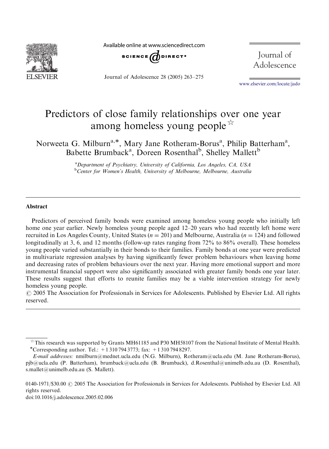

Available online at www.sciencedirect.com



Journal of Adolescence 28 (2005) 263–275

Journal of Adolescence

<www.elsevier.com/locate/jado>

# Predictors of close family relationships over one year among homeless young people  $\overline{\mathbb{X}}$

Norweeta G. Milburn<sup>a,\*</sup>, Mary Jane Rotheram-Borus<sup>a</sup>, Philip Batterham<sup>a</sup>, Babette Brumback<sup>a</sup>, Doreen Rosenthal<sup>b</sup>, Shelley Mallett<sup>b</sup>

> <sup>a</sup> Department of Psychiatry, University of California, Los Angeles, CA, USA <sup>b</sup>Center for Women's Health, University of Melbourne, Melbourne, Australia

#### Abstract

Predictors of perceived family bonds were examined among homeless young people who initially left home one year earlier. Newly homeless young people aged 12–20 years who had recently left home were recruited in Los Angeles County, United States ( $n = 201$ ) and Melbourne, Australia ( $n = 124$ ) and followed longitudinally at 3, 6, and 12 months (follow-up rates ranging from 72% to 86% overall). These homeless young people varied substantially in their bonds to their families. Family bonds at one year were predicted in multivariate regression analyses by having significantly fewer problem behaviours when leaving home and decreasing rates of problem behaviours over the next year. Having more emotional support and more instrumental financial support were also significantly associated with greater family bonds one year later. These results suggest that efforts to reunite families may be a viable intervention strategy for newly homeless young people.

r 2005 The Association for Professionals in Services for Adolescents. Published by Elsevier Ltd. All rights reserved.

doi:10.1016/j.adolescence.2005.02.006

 $\star$ This research was supported by Grants MH61185 and P30 MH58107 from the National Institute of Mental Health.<br>\*Corresponding author. Tel.: +1 310 794 3773; fax: +1 310 794 8297.

E-mail addresses: nmilburn@mednet.ucla.edu (N.G. Milburn), Rotheram@ucla.edu (M. Jane Rotheram-Borus), pjb@ucla.edu (P. Batterham), brumback@ucla.edu (B. Brumback), d.Rosenthal@unimelb.edu.au (D. Rosenthal), s.mallet@unimelb.edu.au (S. Mallett).

<sup>0140-1971/\$30.00</sup> C 2005 The Association for Professionals in Services for Adolescents. Published by Elsevier Ltd. All rights reserved.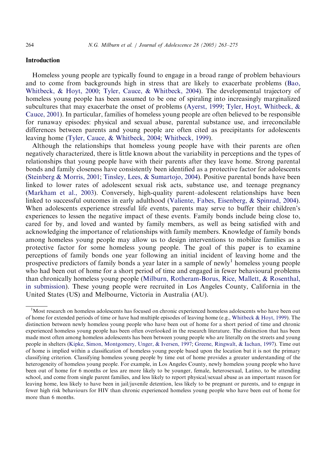# **Introduction**

Homeless young people are typically found to engage in a broad range of problem behaviours and to come from backgrounds high in stress that are likely to exacerbate problems [\(Bao,](#page-10-0) [Whitbeck, & Hoyt, 2000](#page-10-0); [Tyler, Cauce, & Whitbeck, 2004](#page-11-0)). The developmental trajectory of homeless young people has been assumed to be one of spiraling into increasingly marginalized subcultures that may exacerbate the onset of problems ([Ayerst, 1999;](#page-10-0) [Tyler, Hoyt, Whitbeck,](#page-11-0) & [Cauce, 2001](#page-11-0)). In particular, families of homeless young people are often believed to be responsible for runaway episodes: physical and sexual abuse, parental substance use, and irreconcilable differences between parents and young people are often cited as precipitants for adolescents leaving home ([Tyler, Cauce,](#page-11-0) & [Whitbeck, 2004](#page-11-0); [Whitbeck, 1999](#page-12-0)).

Although the relationships that homeless young people have with their parents are often negatively characterized, there is little known about the variability in perceptions and the types of relationships that young people have with their parents after they leave home. Strong parental bonds and family closeness have consistently been identified as a protective factor for adolescents [\(Steinberg](#page-11-0)& [Morris, 2001](#page-11-0); [Tinsley, Lees,](#page-11-0) & [Sumartojo, 2004](#page-11-0)). Positive parental bonds have been linked to lower rates of adolescent sexual risk acts, substance use, and teenage pregnancy [\(Markham et al., 2003\)](#page-11-0). Conversely, high-quality parent–adolescent relationships have been linked to successful outcomes in early adulthood ([Valiente, Fabes, Eisenberg, & Spinrad, 2004](#page-12-0)). When adolescents experience stressful life events, parents may serve to buffer their children's experiences to lessen the negative impact of these events. Family bonds include being close to, cared for by, and loved and wanted by family members, as well as being satisfied with and acknowledging the importance of relationships with family members. Knowledge of family bonds among homeless young people may allow us to design interventions to mobilize families as a protective factor for some homeless young people. The goal of this paper is to examine perceptions of family bonds one year following an initial incident of leaving home and the prospective predictors of family bonds a year later in a sample of newly<sup>1</sup> homeless young people who had been out of home for a short period of time and engaged in fewer behavioural problems than chronically homeless young people (Milburn, Rotheram-Borus, Rice, Mallett,  $&$  Rosenthal, [in submission](#page-11-0)). These young people were recruited in Los Angeles County, California in the United States (US) and Melbourne, Victoria in Australia (AU).

<sup>&</sup>lt;sup>1</sup>Most research on homeless adolescents has focused on chronic experienced homeless adolescents who have been out of home for extended periods of time or have had multiple episodes of leavinghome (e.g., [Whitbeck & Hoyt, 1999](#page-12-0)). The distinction between newly homeless young people who have been out of home for a short period of time and chronic experienced homeless young people has been often overlooked in the research literature. The distinction that has been made most often among homeless adolescents has been between young people who are literally on the streets and young people in shelters [\(Kipke, Simon, Montgomery, Unger,](#page-11-0) [& Iversen, 1997](#page-11-0); [Greene, Ringwalt, & Iachan, 1997\)](#page-11-0). Time out of home is implied within a classification of homeless young people based upon the location but it is not the primary classifying criterion. Classifying homeless young people by time out of home provides a greater understanding of the heterogeneity of homeless young people. For example, in Los Angeles County, newly homeless young people who have been out of home for 6 months or less are more likely to be younger, female, heterosexual, Latino, to be attending school, and come from single parent families, and less likely to report physical/sexual abuse as an important reason for leaving home, less likely to have been in jail/juvenile detention, less likely to be pregnant or parents, and to engage in fewer high risk behaviours for HIV than chronic experienced homeless young people who have been out of home for more than 6 months.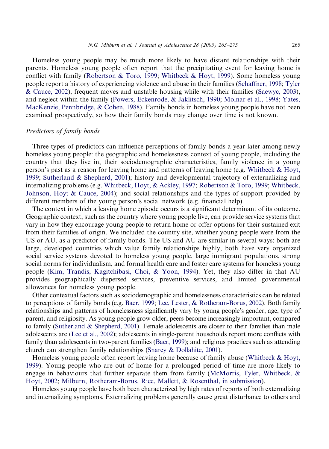Homeless young people may be much more likely to have distant relationships with their parents. Homeless young people often report that the precipitating event for leaving home is conflict with family [\(Robertson & Toro, 1999](#page-11-0); [Whitbeck](#page-12-0) & [Hoyt, 1999](#page-12-0)). Some homeless young people report a history of experiencingviolence and abuse in their families ([Schaffner, 1998](#page-11-0); [Tyler](#page-11-0) & [Cauce, 2002\)](#page-11-0), frequent moves and unstable housingwhile with their families [\(Saewyc, 2003](#page-11-0)), and neglect within the family ([Powers, Eckenrode,](#page-11-0) & [Jaklitsch, 1990](#page-11-0); [Molnar et al., 1998;](#page-11-0) [Yates,](#page-12-0) [MacKenzie, Pennbridge,](#page-12-0) [& Cohen, 1988](#page-12-0)). Family bonds in homeless young people have not been examined prospectively, so how their family bonds may change over time is not known.

## Predictors of family bonds

Three types of predictors can influence perceptions of family bonds a year later among newly homeless young people: the geographic and homelessness context of young people, including the country that they live in, their sociodemographic characteristics, family violence in a young person's past as a reason for leaving home and patterns of leaving home (e.g. Whitbeck  $\&$  Hoyt, [1999](#page-12-0); [Sutherland & Shepherd, 2001\)](#page-11-0); history and developmental trajectory of externalizingand internalizing problems (e.g. [Whitbeck, Hoyt,](#page-12-0)  $&$  [Ackley, 1997](#page-12-0); [Robertson](#page-11-0)  $&$  Toro, 1999; [Whitbeck,](#page-12-0) [Johnson, Hoyt](#page-12-0) & [Cauce, 2004](#page-12-0)); and social relationships and the types of support provided by different members of the young person's social network (e.g. financial help).

The context in which a leaving home episode occurs is a significant determinant of its outcome. Geographic context, such as the country where young people live, can provide service systems that vary in how they encourage young people to return home or offer options for their sustained exit from their families of origin. We included the country site, whether young people were from the US or AU, as a predictor of family bonds. The US and AU are similar in several ways: both are large, developed countries which value family relationships highly, both have very organized social service systems devoted to homeless young people, large immigrant populations, strong social norms for individualism, and formal health care and foster care systems for homeless young people [\(Kim, Trandis, Kagitchibasi, Choi,](#page-11-0) & [Yoon, 1994](#page-11-0)). Yet, they also differ in that AU provides geographically dispersed services, preventive services, and limited governmental allowances for homeless young people.

Other contextual factors such as sociodemographic and homelessness characteristics can be related to perceptions of family bonds (e.g. [Baer, 1999](#page-10-0); [Lee, Lester, & Rotheram-Borus, 2002](#page-11-0)). Both family relationships and patterns of homelessness significantly vary by young people's gender, age, type of parent, and religiosity. As young people grow older, peers become increasingly important, compared to family [\(Sutherland](#page-11-0) & [Shepherd, 2001\)](#page-11-0). Female adolescents are closer to their families than male adolescents are ([Lee et al., 2002\)](#page-11-0); adolescents in single-parent households report more conflicts with family than adolescents in two-parent families [\(Baer, 1999](#page-10-0)); and religious practices such as attending church can strengthen family relationships [\(Snarey](#page-11-0) [& Dollahite, 2001](#page-11-0)).

Homeless young people often report leaving home because of family abuse ([Whitbeck](#page-12-0)  $&$  [Hoyt,](#page-12-0) [1999](#page-12-0)). Young people who are out of home for a prolonged period of time are more likely to engage in behaviours that further separate them from family [\(McMorris, Tyler, Whitbeck,](#page-11-0) & [Hoyt, 2002](#page-11-0); [Milburn, Rotheram-Borus, Rice, Mallett, & Rosenthal, in submission\)](#page-11-0).

Homeless young people have both been characterized by high rates of reports of both externalizing and internalizing symptoms. Externalizing problems generally cause great disturbance to others and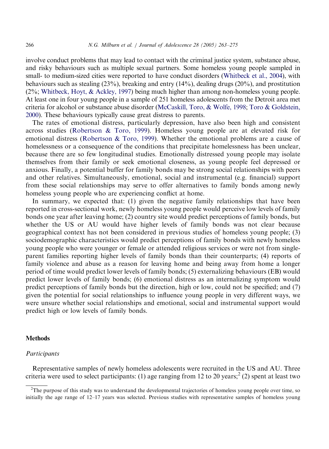involve conduct problems that may lead to contact with the criminal justice system, substance abuse, and risky behaviours such as multiple sexual partners. Some homeless young people sampled in small- to medium-sized cities were reported to have conduct disorders ([Whitbeck et al., 2004](#page-12-0)), with behaviours such as stealing  $(23\%)$ , breaking and entry  $(14\%)$ , dealing drugs  $(20\%)$ , and prostitution  $(2\%;$  [Whitbeck, Hoyt, & Ackley, 1997\)](#page-12-0) being much higher than among non-homeless young people. At least one in four young people in a sample of 251 homeless adolescents from the Detroit area met criteria for alcohol or substance abuse disorder ([McCaskill, Toro,](#page-11-0) & [Wolfe, 1998;](#page-11-0) [Toro](#page-11-0) & [Goldstein,](#page-11-0) [2000\)](#page-11-0). These behaviours typically cause great distress to parents.

The rates of emotional distress, particularly depression, have also been high and consistent across studies [\(Robertson & Toro, 1999\)](#page-11-0). Homeless young people are at elevated risk for emotional distress [\(Robertson & Toro, 1999](#page-11-0)). Whether the emotional problems are a cause of homelessness or a consequence of the conditions that precipitate homelessness has been unclear, because there are so few longitudinal studies. Emotionally distressed young people may isolate themselves from their family or seek emotional closeness, as young people feel depressed or anxious. Finally, a potential buffer for family bonds may be strongsocial relationships with peers and other relatives. Simultaneously, emotional, social and instrumental (e.g. financial) support from these social relationships may serve to offer alternatives to family bonds among newly homeless young people who are experiencing conflict at home.

In summary, we expected that: (1) given the negative family relationships that have been reported in cross-sectional work, newly homeless young people would perceive low levels of family bonds one year after leaving home; (2) country site would predict perceptions of family bonds, but whether the US or AU would have higher levels of family bonds was not clear because geographical context has not been considered in previous studies of homeless young people; (3) sociodemographic characteristics would predict perceptions of family bonds with newly homeless young people who were younger or female or attended religious services or were not from singleparent families reporting higher levels of family bonds than their counterparts; (4) reports of family violence and abuse as a reason for leaving home and being away from home a longer period of time would predict lower levels of family bonds; (5) externalizing behaviours (EB) would predict lower levels of family bonds; (6) emotional distress as an internalizing symptom would predict perceptions of family bonds but the direction, high or low, could not be specified; and (7) given the potential for social relationships to influence young people in very different ways, we were unsure whether social relationships and emotional, social and instrumental support would predict high or low levels of family bonds.

## Methods

#### Participants

Representative samples of newly homeless adolescents were recruited in the US and AU. Three criteria were used to select participants: (1) age ranging from 12 to 20 years;<sup>2</sup> (2) spent at least two

 $2$ The purpose of this study was to understand the developmental trajectories of homeless young people over time, so initially the age range of 12–17 years was selected. Previous studies with representative samples of homeless young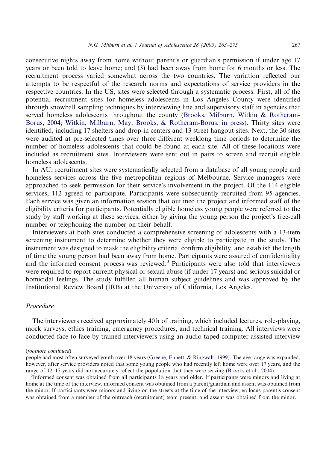consecutive nights away from home without parent's or guardian's permission if under age 17 years or been told to leave home; and (3) had been away from home for 6 months or less. The recruitment process varied somewhat across the two countries. The variation reflected our attempts to be respectful of the research norms and expectations of service providers in the respective countries. In the US, sites were selected through a systematic process. First, all of the potential recruitment sites for homeless adolescents in Los Angeles County were identified through snowball sampling techniques by interviewing line and supervisory staff in agencies that served homeless adolescents throughout the county ([Brooks, Milburn, Witkin & Rotheram-](#page-11-0)[Borus, 2004](#page-11-0); [Witkin, Milburn, May, Brooks, & Rotheram-Borus, in press](#page-12-0)). Thirty sites were identified, including 17 shelters and drop-in centers and 13 street hangout sites. Next, the 30 sites were audited at pre-selected times over three different weeklong time periods to determine the number of homeless adolescents that could be found at each site. All of these locations were included as recruitment sites. Interviewers were sent out in pairs to screen and recruit eligible homeless adolescents.

In AU, recruitment sites were systematically selected from a database of all young people and homeless services across the five metropolitan regions of Melbourne. Service managers were approached to seek permission for their service's involvement in the project. Of the 114 eligible services, 112 agreed to participate. Participants were subsequently recruited from 95 agencies. Each service was given an information session that outlined the project and informed staff of the eligibility criteria for participants. Potentially eligible homeless young people were referred to the study by staff working at these services, either by giving the young person the project's free-call number or telephoning the number on their behalf.

Interviewers at both sites conducted a comprehensive screening of adolescents with a 13-item screening instrument to determine whether they were eligible to participate in the study. The instrument was designed to mask the eligibility criteria, confirm eligibility, and establish the length of time the young person had been away from home. Participants were assured of confidentiality and the informed consent process was reviewed.<sup>3</sup> Participants were also told that interviewers were required to report current physical or sexual abuse (if under 17 years) and serious suicidal or homicidal feelings. The study fulfilled all human subject guidelines and was approved by the Institutional Review Board (IRB) at the University of California, Los Angeles.

# Procedure

The interviewers received approximately 40 h of training, which included lectures, role-playing, mock surveys, ethics training, emergency procedures, and technical training. All interviews were conducted face-to-face by trained interviewers usingan audio-taped computer-assisted interview

<sup>(</sup>footnote continued)

people had most often surveyed youth over 18 years ([Greene, Ennett, & Ringwalt, 1999\)](#page-11-0). The age range was expanded, however, after service providers noted that some young people who had recently left home were over 17 years, and the range of 12–17 years did not accurately reflect the population that they were serving ([Brooks et al., 2004](#page-11-0)).

<sup>&</sup>lt;sup>3</sup>Informed consent was obtained from all participants 18 years and older. If participants were minors and living at home at the time of the interview, informed consent was obtained from a parent/guardian and assent was obtained from the minor. If participants were minors and living on the streets at the time of the interview, en locus parentis consent was obtained from a member of the outreach (recruitment) team present, and assent was obtained from the minor.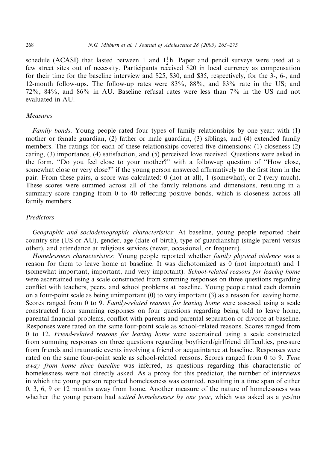schedule (ACASI) that lasted between 1 and  $1\frac{1}{2}$ h. Paper and pencil surveys were used at a few street sites out of necessity. Participants received \$20 in local currency as compensation for their time for the baseline interview and \$25, \$30, and \$35, respectively, for the 3-, 6-, and 12-month follow-ups. The follow-up rates were 83%, 88%, and 83% rate in the US; and 72%, 84%, and 86% in AU. Baseline refusal rates were less than 7% in the US and not evaluated in AU.

## Measures

Family bonds. Young people rated four types of family relationships by one year: with (1) mother or female guardian, (2) father or male guardian, (3) siblings, and (4) extended family members. The ratings for each of these relationships covered five dimensions: (1) closeness (2) caring, (3) importance, (4) satisfaction, and (5) perceived love received. Questions were asked in the form, ''Do you feel close to your mother?'' with a follow-up question of ''How close, somewhat close or very close?" if the young person answered affirmatively to the first item in the pair. From these pairs, a score was calculated: 0 (not at all), 1 (somewhat), or 2 (very much). These scores were summed across all of the family relations and dimensions, resultingin a summary score ranging from 0 to 40 reflecting positive bonds, which is closeness across all family members.

## **Predictors**

Geographic and sociodemographic characteristics: At baseline, young people reported their country site (US or AU), gender, age (date of birth), type of guardianship (single parent versus other), and attendance at religious services (never, occasional, or frequent).

Homelessness characteristics: Young people reported whether family physical violence was a reason for them to leave home at baseline. It was dichotomized as 0 (not important) and 1 (somewhat important, important, and very important). School-related reasons for leaving home were ascertained usinga scale constructed from summingresponses on three questions regarding conflict with teachers, peers, and school problems at baseline. Young people rated each domain on a four-point scale as being unimportant  $(0)$  to very important  $(3)$  as a reason for leaving home. Scores ranged from 0 to 9. Family-related reasons for leaving home were assessed using a scale constructed from summing responses on four questions regarding being told to leave home, parental financial problems, conflict with parents and parental separation or divorce at baseline. Responses were rated on the same four-point scale as school-related reasons. Scores ranged from 0 to 12. Friend-related reasons for leaving home were ascertained usinga scale constructed from summing responses on three questions regarding boyfriend/girlfriend difficulties, pressure from friends and traumatic events involvinga friend or acquaintance at baseline. Responses were rated on the same four-point scale as school-related reasons. Scores ranged from 0 to 9. Time away from home since baseline was inferred, as questions regarding this characteristic of homelessness were not directly asked. As a proxy for this predictor, the number of interviews in which the young person reported homelessness was counted, resulting in a time span of either 0, 3, 6, 9 or 12 months away from home. Another measure of the nature of homelessness was whether the young person had *exited homelessness by one year*, which was asked as a yes/no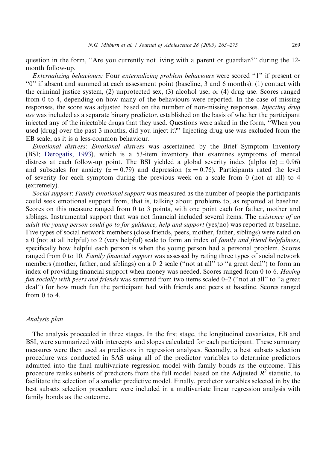question in the form, "Are you currently not living with a parent or guardian?" during the 12month follow-up.

Externalizing behaviours: Four externalizing problem behaviours were scored ''1'' if present or ''0'' if absent and summed at each assessment point (baseline, 3 and 6 months): (1) contact with the criminal justice system,  $(2)$  unprotected sex,  $(3)$  alcohol use, or  $(4)$  drug use. Scores ranged from 0 to 4, depending on how many of the behaviours were reported. In the case of missing responses, the score was adjusted based on the number of non-missing responses. Injecting drug use was included as a separate binary predictor, established on the basis of whether the participant injected any of the injectable drugs that they used. Questions were asked in the form, ''When you used [drug] over the past 3 months, did you inject it?'' Injecting drug use was excluded from the EB scale, as it is a less-common behaviour.

Emotional distress: Emotional distress was ascertained by the Brief Symptom Inventory (BSI; [Derogatis, 1993](#page-11-0)), which is a 53-item inventory that examines symptoms of mental distress at each follow-up point. The BSI yielded a global severity index (alpha  $(\alpha) = 0.96$ ) and subscales for anxiety ( $\alpha = 0.79$ ) and depression ( $\alpha = 0.76$ ). Participants rated the level of severity for each symptom during the previous week on a scale from 0 (not at all) to 4 (extremely).

Social support: Family emotional support was measured as the number of people the participants could seek emotional support from, that is, talking about problems to, as reported at baseline. Scores on this measure ranged from 0 to 3 points, with one point each for father, mother and siblings. Instrumental support that was not financial included several items. The *existence of an* adult the young person could go to for guidance, help and support (yes/no) was reported at baseline. Five types of social network members (close friends, peers, mother, father, siblings) were rated on a 0 (not at all helpful) to 2 (very helpful) scale to form an index of family and friend helpfulness, specifically how helpful each person is when the young person had a personal problem. Scores ranged from 0 to 10. Family financial support was assessed by rating three types of social network members (mother, father, and siblings) on a 0–2 scale ("not at all" to "a great deal") to form an index of providing financial support when money was needed. Scores ranged from 0 to 6. Having fun socially with peers and friends was summed from two items scaled 0–2 ("not at all" to "a great deal'') for how much fun the participant had with friends and peers at baseline. Scores ranged from 0 to 4.

# Analysis plan

The analysis proceeded in three stages. In the first stage, the longitudinal covariates, EB and BSI, were summarized with intercepts and slopes calculated for each participant. These summary measures were then used as predictors in regression analyses. Secondly, a best subsets selection procedure was conducted in SAS usingall of the predictor variables to determine predictors admitted into the final multivariate regression model with family bonds as the outcome. This procedure ranks subsets of predictors from the full model based on the Adjusted  $R<sup>2</sup>$  statistic, to facilitate the selection of a smaller predictive model. Finally, predictor variables selected in by the best subsets selection procedure were included in a multivariate linear regression analysis with family bonds as the outcome.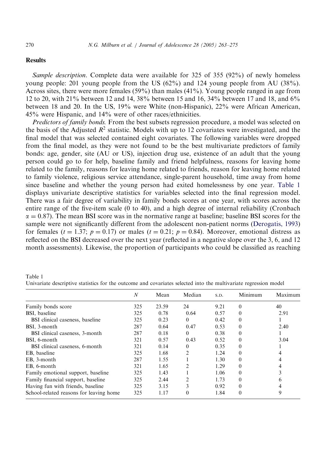#### Results

Sample description. Complete data were available for 325 of 355 (92%) of newly homeless young people: 201 young people from the US  $(62\%)$  and 124 young people from AU (38%). Across sites, there were more females (59%) than males (41%). Young people ranged in age from 12 to 20, with 21% between 12 and 14, 38% between 15 and 16, 34% between 17 and 18, and 6% between 18 and 20. In the US, 19% were White (non-Hispanic), 22% were African American, 45% were Hispanic, and 14% were of other races/ethnicities.

Predictors of family bonds. From the best subsets regression procedure, a model was selected on the basis of the Adjusted  $R^2$  statistic. Models with up to 12 covariates were investigated, and the final model that was selected contained eight covariates. The following variables were dropped from the final model, as they were not found to be the best multivariate predictors of family bonds: age, gender, site (AU or US), injection drug use, existence of an adult that the young person could go to for help, baseline family and friend helpfulness, reasons for leaving home related to the family, reasons for leaving home related to friends, reason for leaving home related to family violence, religious service attendance, single-parent household, time away from home since baseline and whether the young person had exited homelessness by one year. Table 1 displays univariate descriptive statistics for variables selected into the final regression model. There was a fair degree of variability in family bonds scores at one year, with scores across the entire range of the five-item scale (0 to 40), and a high degree of internal reliability (Cronbach  $\alpha = 0.87$ ). The mean BSI score was in the normative range at baseline; baseline BSI scores for the sample were not significantly different from the adolescent non-patient norms ([Derogatis, 1993](#page-11-0)) for females ( $t = 1.37$ ;  $p = 0.17$ ) or males ( $t = 0.21$ ;  $p = 0.84$ ). Moreover, emotional distress as reflected on the BSI decreased over the next year (reflected in a negative slope over the 3, 6, and 12 month assessments). Likewise, the proportion of participants who could be classified as reaching

Table 1

|  |  |  |  |  |  | Univariate descriptive statistics for the outcome and covariates selected into the multivariate regression model |  |
|--|--|--|--|--|--|------------------------------------------------------------------------------------------------------------------|--|
|  |  |  |  |  |  |                                                                                                                  |  |
|  |  |  |  |  |  |                                                                                                                  |  |
|  |  |  |  |  |  |                                                                                                                  |  |

|                                         | $\boldsymbol{N}$ | Mean  | Median         | S.D. | Minimum  | Maximum |
|-----------------------------------------|------------------|-------|----------------|------|----------|---------|
| Family bonds score                      | 325              | 23.59 | 24             | 9.21 | $\theta$ | 40      |
| BSI, baseline                           | 325              | 0.78  | 0.64           | 0.57 | $\theta$ | 2.91    |
| BSI clinical caseness, baseline         | 325              | 0.23  | 0              | 0.42 | $\theta$ |         |
| BSI, 3-month                            | 287              | 0.64  | 0.47           | 0.53 | $\Omega$ | 2.40    |
| BSI clinical caseness, 3-month          | 287              | 0.18  | 0              | 0.38 | $\Omega$ |         |
| BSI, 6-month                            | 321              | 0.57  | 0.43           | 0.52 | $\theta$ | 3.04    |
| BSI clinical caseness, 6-month          | 321              | 0.14  | 0              | 0.35 | $\Omega$ |         |
| EB. baseline                            | 325              | 1.68  | $\mathfrak{D}$ | 1.24 | $\Omega$ |         |
| EB, 3-month                             | 287              | 1.55  |                | 1.30 | $\Omega$ |         |
| EB, 6-month                             | 321              | 1.65  | $\mathfrak{D}$ | 1.29 | $\theta$ |         |
| Family emotional support, baseline      | 325              | 1.43  |                | 1.06 | $\theta$ |         |
| Family financial support, baseline      | 325              | 2.44  |                | 1.73 | $\Omega$ |         |
| Having fun with friends, baseline       | 325              | 3.15  | 3              | 0.92 | $\Omega$ |         |
| School-related reasons for leaving home | 325              | 1.17  | 0              | 1.84 | $\theta$ | 9       |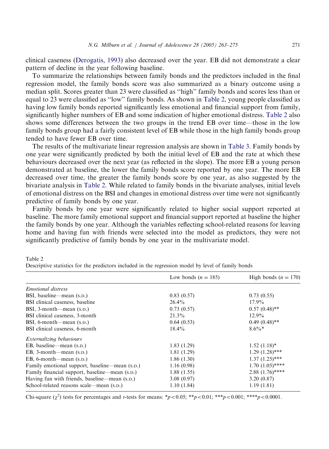clinical caseness [\(Derogatis, 1993\)](#page-11-0) also decreased over the year. EB did not demonstrate a clear pattern of decline in the year following baseline.

To summarize the relationships between family bonds and the predictors included in the final regression model, the family bonds score was also summarized as a binary outcome using a median split. Scores greater than 23 were classified as ''high'' family bonds and scores less than or equal to 23 were classified as "low" family bonds. As shown in Table 2, young people classified as having low family bonds reported significantly less emotional and financial support from family, significantly higher numbers of EB and some indication of higher emotional distress. Table 2 also shows some differences between the two groups in the trend EB over time—those in the low family bonds group had a fairly consistent level of EB while those in the high family bonds group tended to have fewer EB over time.

The results of the multivariate linear regression analysis are shown in [Table 3](#page-9-0). Family bonds by one year were significantly predicted by both the initial level of EB and the rate at which these behaviours decreased over the next year (as reflected in the slope). The more EB a young person demonstrated at baseline, the lower the family bonds score reported by one year. The more EB decreased over time, the greater the family bonds score by one year, as also suggested by the bivariate analysis in Table 2. While related to family bonds in the bivariate analyses, initial levels of emotional distress on the BSI and changes in emotional distress over time were not significantly predictive of family bonds by one year.

Family bonds by one year were significantly related to higher social support reported at baseline. The more family emotional support and financial support reported at baseline the higher the family bonds by one year. Although the variables reflecting school-related reasons for leaving home and having fun with friends were selected into the model as predictors, they were not significantly predictive of family bonds by one year in the multivariate model.

|                                                | Low bonds $(n = 185)$ | High bonds $(n = 170)$ |
|------------------------------------------------|-----------------------|------------------------|
| <i>Emotional distress</i>                      |                       |                        |
| BSI, baseline—mean (s.p.)                      | 0.83(0.57)            | 0.73(0.55)             |
| BSI clinical caseness, baseline                | $26.4\%$              | $17.9\%$               |
| BSI, $3$ -month—mean $(s.p.)$                  | 0.73(0.57)            | $0.57(0.48)$ **        |
| BSI clinical caseness, 3-month                 | $21.3\%$              | $12.9\%$               |
| BSI, 6-month—mean (s.p.)                       | 0.64(0.53)            | $0.49(0.48)$ **        |
| BSI clinical caseness, 6-month                 | $18.4\%$              | $8.6\%$ <sup>*</sup>   |
| <i>Externalizing behaviours</i>                |                       |                        |
| EB, baseline—mean (s.p.)                       | 1.83(1.29)            | $1.52(1.18)^*$         |
| EB, 3-month—mean $(s.D.)$                      | 1.81(1.29)            | $1.29(1.28)$ ***       |
| EB, 6-month—mean $(s.D.)$                      | 1.86(1.30)            | $1.37(1.25)$ ***       |
| Family emotional support, baseline—mean (s.p.) | 1.16(0.98)            | $1.70(1.05)$ ****      |
| Family financial support, baseline—mean (s.p.) | 1.88(1.55)            | $2.88(1.76)$ ****      |
| Having fun with friends, baseline—mean (s.p.)  | 3.08(0.97)            | 3.20(0.87)             |
| School-related reasons scale—mean (s.p.)       | 1.10(1.84)            | 1.19(1.81)             |

Table 2

Descriptive statistics for the predictors included in the regression model by level of family bonds

Chi-square  $(\chi^2)$  tests for percentages and *t*-tests for means: \*p<0.05; \*\*p<0.01; \*\*\*p<0.001; \*\*\*p<0.0001.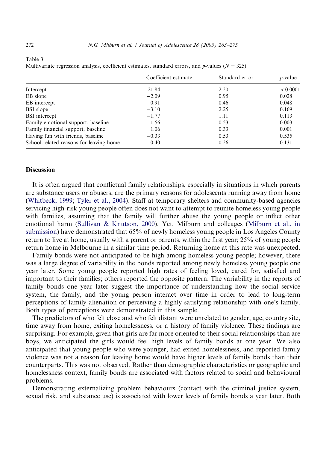|                                         | Coefficient estimate | Standard error | $p$ -value |
|-----------------------------------------|----------------------|----------------|------------|
| Intercept                               | 21.84                | 2.20           | < 0.0001   |
| EB slope                                | $-2.09$              | 0.95           | 0.028      |
| EB intercept                            | $-0.91$              | 0.46           | 0.048      |
| <b>BSI</b> slope                        | $-3.10$              | 2.25           | 0.169      |
| <b>BSI</b> intercept                    | $-1.77$              | 1.11           | 0.113      |
| Family emotional support, baseline      | 1.56                 | 0.53           | 0.003      |
| Family financial support, baseline      | 1.06                 | 0.33           | 0.001      |
| Having fun with friends, baseline       | $-0.33$              | 0.53           | 0.535      |
| School-related reasons for leaving home | 0.40                 | 0.26           | 0.131      |

<span id="page-9-0"></span>Table 3

Multivariate regression analysis, coefficient estimates, standard errors, and p-values ( $N = 325$ )

#### **Discussion**

It is often argued that conflictual family relationships, especially in situations in which parents are substance users or abusers, are the primary reasons for adolescents runningaway from home [\(Whitbeck, 1999](#page-12-0); [Tyler et al., 2004](#page-11-0)). Staff at temporary shelters and community-based agencies servicing high-risk young people often does not want to attempt to reunite homeless young people with families, assuming that the family will further abuse the young people or inflict other emotional harm [\(Sullivan](#page-11-0) & [Knutson, 2000](#page-11-0)). Yet, Milburn and colleages [\(Milburn et al., in](#page-11-0) [submission](#page-11-0)) have demonstrated that 65% of newly homeless young people in Los Angeles County return to live at home, usually with a parent or parents, within the first year;  $25\%$  of young people return home in Melbourne in a similar time period. Returning home at this rate was unexpected.

Family bonds were not anticipated to be high among homeless young people; however, there was a large degree of variability in the bonds reported among newly homeless young people one year later. Some young people reported high rates of feeling loved, cared for, satisfied and important to their families; others reported the opposite pattern. The variability in the reports of family bonds one year later suggest the importance of understanding how the social service system, the family, and the young person interact over time in order to lead to long-term perceptions of family alienation or perceiving a highly satisfying relationship with one's family. Both types of perceptions were demonstrated in this sample.

The predictors of who felt close and who felt distant were unrelated to gender, age, country site, time away from home, exiting homelessness, or a history of family violence. These findings are surprising. For example, given that girls are far more oriented to their social relationships than are boys, we anticipated the girls would feel high levels of family bonds at one year. We also anticipated that young people who were younger, had exited homelessness, and reported family violence was not a reason for leaving home would have higher levels of family bonds than their counterparts. This was not observed. Rather than demographic characteristics or geographic and homelessness context, family bonds are associated with factors related to social and behavioural problems.

Demonstrating externalizing problem behaviours (contact with the criminal justice system, sexual risk, and substance use) is associated with lower levels of family bonds a year later. Both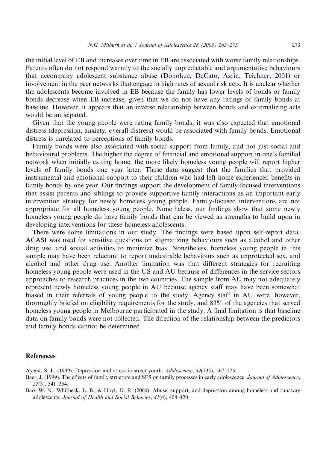<span id="page-10-0"></span>the initial level of EB and increases over time in EB are associated with worse family relationships. Parents often do not respond warmly to the socially unpredictable and argumentative behaviours that accompany adolescent substance abuse ([Donohue, DeCato, Azrin, Teichner, 2001\)](#page-11-0) or involvement in the peer networks that engage in high rates of sexual risk acts. It is unclear whether the adolescents become involved in EB because the family has lower levels of bonds or family bonds decrease when EB increase, given that we do not have any ratings of family bonds at baseline. However, it appears that an inverse relationship between bonds and externalizing acts would be anticipated.

Given that the young people were rating family bonds, it was also expected that emotional distress (depression, anxiety, overall distress) would be associated with family bonds. Emotional distress is unrelated to perceptions of family bonds.

Family bonds were also associated with social support from family, and not just social and behavioural problems. The higher the degree of financial and emotional support in one's familial network when initially exiting home, the more likely homeless young people will report higher levels of family bonds one year later. These data suggest that the families that provided instrumental and emotional support to their children who had left home experienced benefits in family bonds by one year. Our findings support the development of family-focused interventions that assist parents and siblings to provide supportive family interactions as an important early intervention strategy for newly homeless young people. Family-focused interventions are not appropriate for all homeless young people. Nonetheless, our findings show that some newly homeless young people do have family bonds that can be viewed as strengths to build upon in developing interventions for these homeless adolescents.

There were some limitations in our study. The findings were based upon self-report data. ACASI was used for sensitive questions on stigmatizing behaviours such as alcohol and other drug use, and sexual activities to minimize bias. Nonetheless, homeless young people in this sample may have been reluctant to report undesirable behaviours such as unprotected sex, and alcohol and other drug use. Another limitation was that different strategies for recruiting homeless young people were used in the US and AU because of differences in the service sectors approaches to research practices in the two countries. The sample from AU may not adequately represent newly homeless young people in AU because agency staff may have been somewhat biased in their referrals of young people to the study. Agency staff in AU were, however, thoroughly briefed on eligibility requirements for the study, and 83% of the agencies that served homeless young people in Melbourne participated in the study. A final limitation is that baseline data on family bonds were not collected. The direction of the relationship between the predictors and family bonds cannot be determined.

#### References

Ayerst, S. L. (1999). Depression and stress in street youth. Adolescence, 34(135), 567–575.

Bao, W. N., Whitbeck, L. B., & Hoyt, D. R. (2000). Abuse, support, and depression among homeless and runaway adolescents. Journal of Health and Social Behavior, 41(4), 408–420.

Baer, J. (1999). The effects of family structure and SES on family processes in early adolescence. Journal of Adolescence, 22(3), 341–354.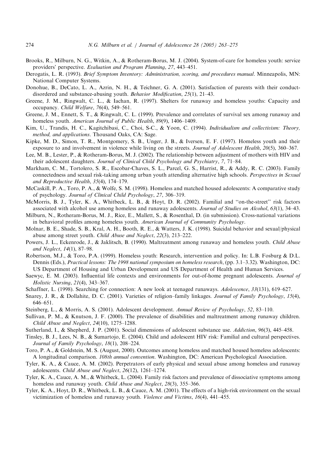- <span id="page-11-0"></span>Brooks, R., Milburn, N. G., Witkin, A., & Rotheram-Borus, M. J. (2004). System-of-care for homeless youth: service providers' perspective. Evaluation and Program Planning, 27, 443–451.
- Derogatis, L. R. (1993). Brief Symptom Inventory: Administration, scoring, and procedures manual. Minneapolis, MN: National Computer Systems.
- Donohue, B., DeCato, L. A., Azrin, N. H., & Teichner, G. A. (2001). Satisfaction of parents with their conductdisordered and substance-abusingyouth. Behavior Modification, 25(1), 21–43.
- Greene, J. M., Ringwalt, C. L., & Iachan, R. (1997). Shelters for runaway and homeless youths: Capacity and occupancy. Child Welfare, 76(4), 549–561.
- Greene, J. M., Ennett, S. T., & Ringwalt, C. L. (1999). Prevalence and correlates of survival sex among runaway and homeless youth. American Journal of Public Health, 89(9), 1406-1409.
- Kim, U., Trandis, H. C., Kagitchibasi, C., Choi, S-C., & Yoon, C. (1994). Individualism and collectivism: Theory, method, and applications. Thousand Oaks, CA: Sage.
- Kipke, M. D., Simon, T. R., Montgomery, S. B., Unger, J. B., & Iversen, E. F. (1997). Homeless youth and their exposure to and involvement in violence while living on the streets. Journal of Adolescent Health,  $20(5)$ ,  $360-367$ .
- Lee, M. B., Lester, P., & Rotheram-Borus, M. J. (2002). The relationship between adjustment of mothers with HIV and their adolescent daughters. Journal of Clinical Child Psychology and Psychiatry, 7, 71–84.
- Markham, C. M., Tortolero, S. R., Escobar-Chaves, S. L., Parcel, G. S., Harrist, R., & Addy, R. C. (2003). Family connectedness and sexual risk-taking among urban youth attending alternative high schools. Perspectives in Sexual and Reproductive Health, 35(4), 174–179.
- McCaskill, P. A., Toro, P. A., & Wolfe, S. M. (1998). Homeless and matched housed adolescents: A comparative study of psychology. Journal of Clinical Child Psychology, 27, 306–319.
- McMorris, B. J., Tyler, K. A., Whitbeck, L. B., & Hoyt, D. R. (2002). Familial and ''on-the-street'' risk factors associated with alcohol use among homeless and runaway adolescents. Journal of Studies on Alcohol, 63(1), 34–43.
- Milburn, N., Rotheram-Borus, M. J., Rice, E., Mallett, S., & Rosenthal, D. (in submission). Cross-national variations in behavioral profiles among homeless youth. American Journal of Community Psychology.
- Molnar, B. E., Shade, S. B., Kral, A. H., Booth, R. E., & Watters, J. K. (1998). Suicidal behavior and sexual/physical abuse among street youth. Child Abuse and Neglect, 22(3), 213–222.
- Powers, J. L., Eckenrode, J., & Jaklitsch, B. (1990). Maltreatment among runaway and homeless youth. Child Abuse and Neglect, 14(1), 87–98.
- Robertson, M.J., & Toro, P.A. (1999). Homeless youth: Research, intervention and policy. In: L.B. Fosburg& D.L. Dennis (Eds.), Practical lessons: The 1998 national symposium on homeless research, (pp. 3.1–3.32). Washington, DC: US Department of Housingand Urban Development and US Department of Health and Human Services.
- Saewyc, E. M. (2003). Influential life contexts and environments for out-of-home pregnant adolescents. Journal of Holistic Nursing, 21(4), 343–367.
- Schaffner, L. (1998). Searching for connection: A new look at teenaged runaways. Adolescence, 33(131), 619–627.
- Snarey, J. R., & Dollahite, D. C. (2001). Varieties of religion–family linkages. Journal of Family Psychology, 15(4), 646–651.
- Steinberg, L., & Morris, A. S. (2001). Adolescent development. Annual Review of Psychology, 52, 83–110.
- Sullivan, P. M., & Knutson, J. F. (2000). The prevalence of disabilities and maltreatment among runaway children. Child Abuse and Neglect, 24(10), 1275–1288.
- Sutherland, I., & Shepherd, J. P. (2001). Social dimensions of adolescent substance use. Addiction, 96(3), 445–458.
- Tinsley, B. J., Lees, N. B., & Sumartojo, E. (2004). Child and adolescent HIV risk: Familial and cultural perspectives. Journal of Family Psychology, 18(1), 208–224.
- Toro, P. A., & Goldstein, M. S. (August, 2000). Outcomes among homeless and matched housed homeless adolescents: A longitudinal comparison. 108th annual convention. Washington, DC: American Psychological Association.
- Tyler, K. A., & Cauce, A. M. (2002). Perpetrators of early physical and sexual abuse amonghomeless and runaway adolescents. Child Abuse and Neglect, 26(12), 1261–1274.
- Tyler, K. A., Cauce, A. M., & Whitbeck, L. (2004). Family risk factors and prevalence of dissociative symptoms among homeless and runaway youth. *Child Abuse and Neglect*, 28(3), 355–366.
- Tyler, K. A., Hoyt, D. R., Whitbeck, L. B., & Cauce, A. M. (2001). The effects of a high-risk environment on the sexual victimization of homeless and runaway youth. Violence and Victims, 16(4), 441–455.